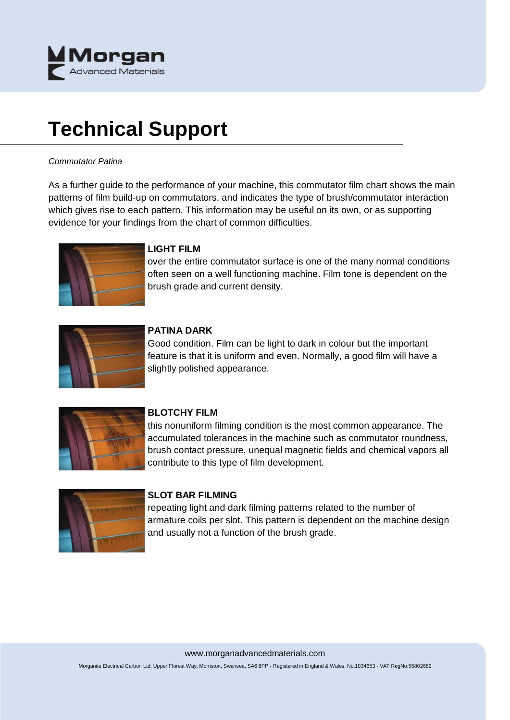

# **Technical Support**

#### *Commutator Patina*

As a further guide to the performance of your machine, this commutator film chart shows the main patterns of film build-up on commutators, and indicates the type of brush/commutator interaction which gives rise to each pattern. This information may be useful on its own, or as supporting evidence for your findings from the chart of common difficulties.



# **LIGHT FILM**

over the entire commutator surface is one of the many normal conditions often seen on a well functioning machine. Film tone is dependent on the brush grade and current density.



#### **PATINA DARK**

Good condition. Film can be light to dark in colour but the important feature is that it is uniform and even. Normally, a good film will have a slightly polished appearance.



#### **BLOTCHY FILM**

this nonuniform filming condition is the most common appearance. The accumulated tolerances in the machine such as commutator roundness, brush contact pressure, unequal magnetic fields and chemical vapors all contribute to this type of film development.



#### **SLOT BAR FILMING**

repeating light and dark filming patterns related to the number of armature coils per slot. This pattern is dependent on the machine design and usually not a function of the brush grade.

www.morganadvancedmaterials.com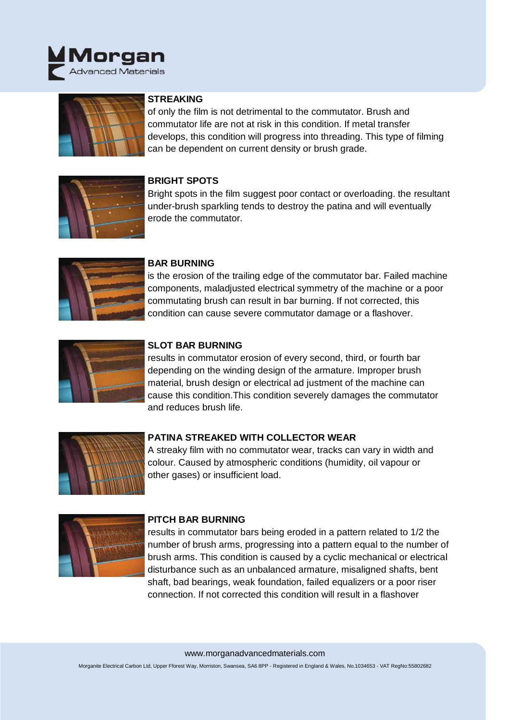



# **STREAKING**

of only the film is not detrimental to the commutator. Brush and commutator life are not at risk in this condition. If metal transfer develops, this condition will progress into threading. This type of filming can be dependent on current density or brush grade.



# **BRIGHT SPOTS**

Bright spots in the film suggest poor contact or overloading. the resultant under-brush sparkling tends to destroy the patina and will eventually erode the commutator.



#### **BAR BURNING**

is the erosion of the trailing edge of the commutator bar. Failed machine components, maladjusted electrical symmetry of the machine or a poor commutating brush can result in bar burning. If not corrected, this condition can cause severe commutator damage or a flashover.



## **SLOT BAR BURNING**

results in commutator erosion of every second, third, or fourth bar depending on the winding design of the armature. Improper brush material, brush design or electrical ad justment of the machine can cause this condition.This condition severely damages the commutator and reduces brush life.



## **PATINA STREAKED WITH COLLECTOR WEAR**

A streaky film with no commutator wear, tracks can vary in width and colour. Caused by atmospheric conditions (humidity, oil vapour or other gases) or insufficient load.



#### **PITCH BAR BURNING**

results in commutator bars being eroded in a pattern related to 1/2 the number of brush arms, progressing into a pattern equal to the number of brush arms. This condition is caused by a cyclic mechanical or electrical disturbance such as an unbalanced armature, misaligned shafts, bent shaft, bad bearings, weak foundation, failed equalizers or a poor riser connection. If not corrected this condition will result in a flashover

#### www.morganadvancedmaterials.com

Morganite Electrical Carbon Ltd, Upper Fforest Way, Morriston, Swansea, SA6 8PP - Registered in England & Wales, No.1034653 - VAT RegNo:55802682